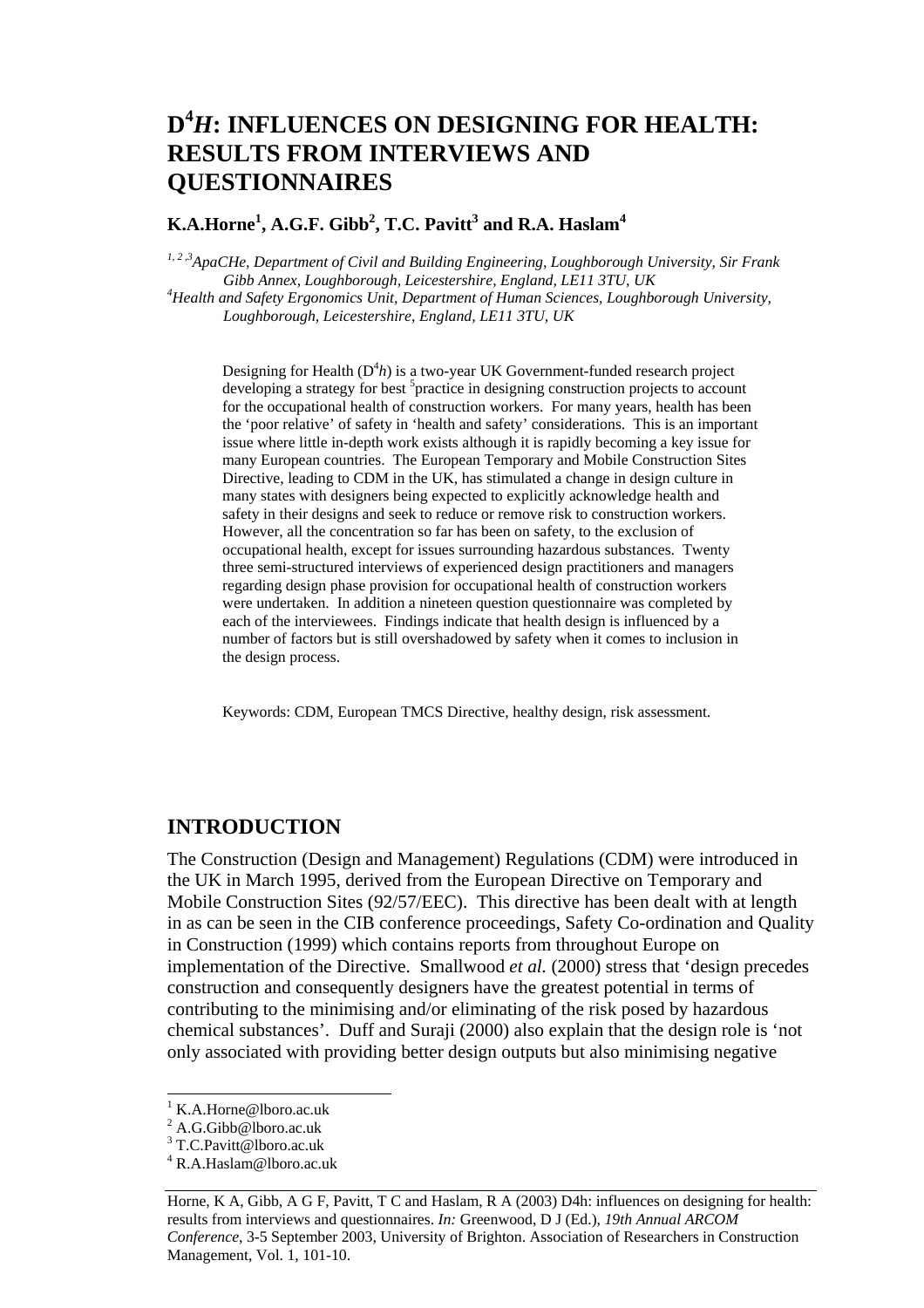# **D4** *H***: INFLUENCES ON DESIGNING FOR HEALTH: RESULTS FROM INTERVIEWS AND QUESTIONNAIRES**

### $\mathbf{K.A. Horne}^{1}, \mathbf{A.G.F.~Gibb}^{2}, \mathbf{T.C.~Pavitt}^{3}$  and  $\mathbf{R.A.~Haslam}^{4}$

*1, 2 ,3ApaCHe, Department of Civil and Building Engineering, Loughborough University, Sir Frank Gibb Annex, Loughborough, Leicestershire, England, LE11 3TU, UK 4 Health and Safety Ergonomics Unit, Department of Human Sciences, Loughborough University, Loughborough, Leicestershire, England, LE11 3TU, UK* 

Designing for Health  $(D^4h)$  is a two-year UK Government-funded research project developing a strategy for best <sup>5</sup>practice in designing construction projects to account for the occupational health of construction workers. For many years, health has been the 'poor relative' of safety in 'health and safety' considerations. This is an important issue where little in-depth work exists although it is rapidly becoming a key issue for many European countries. The European Temporary and Mobile Construction Sites Directive, leading to CDM in the UK, has stimulated a change in design culture in many states with designers being expected to explicitly acknowledge health and safety in their designs and seek to reduce or remove risk to construction workers. However, all the concentration so far has been on safety, to the exclusion of occupational health, except for issues surrounding hazardous substances. Twenty three semi-structured interviews of experienced design practitioners and managers regarding design phase provision for occupational health of construction workers were undertaken. In addition a nineteen question questionnaire was completed by each of the interviewees. Findings indicate that health design is influenced by a number of factors but is still overshadowed by safety when it comes to inclusion in the design process.

Keywords: CDM, European TMCS Directive, healthy design, risk assessment.

### **INTRODUCTION**

The Construction (Design and Management) Regulations (CDM) were introduced in the UK in March 1995, derived from the European Directive on Temporary and Mobile Construction Sites (92/57/EEC). This directive has been dealt with at length in as can be seen in the CIB conference proceedings, Safety Co-ordination and Quality in Construction (1999) which contains reports from throughout Europe on implementation of the Directive. Smallwood *et al.* (2000) stress that 'design precedes construction and consequently designers have the greatest potential in terms of contributing to the minimising and/or eliminating of the risk posed by hazardous chemical substances'. Duff and Suraji (2000) also explain that the design role is 'not only associated with providing better design outputs but also minimising negative

l

<sup>1</sup> K.A.Horne@lboro.ac.uk

<sup>&</sup>lt;sup>2</sup> A.G.Gibb@lboro.ac.uk

<sup>&</sup>lt;sup>3</sup> T.C.Pavitt@lboro.ac.uk

<sup>4</sup> R.A.Haslam@lboro.ac.uk

Horne, K A, Gibb, A G F, Pavitt, T C and Haslam, R A (2003) D4h: influences on designing for health: results from interviews and questionnaires. *In:* Greenwood, D J (Ed.), *19th Annual ARCOM Conference*, 3-5 September 2003, University of Brighton. Association of Researchers in Construction Management, Vol. 1, 101-10.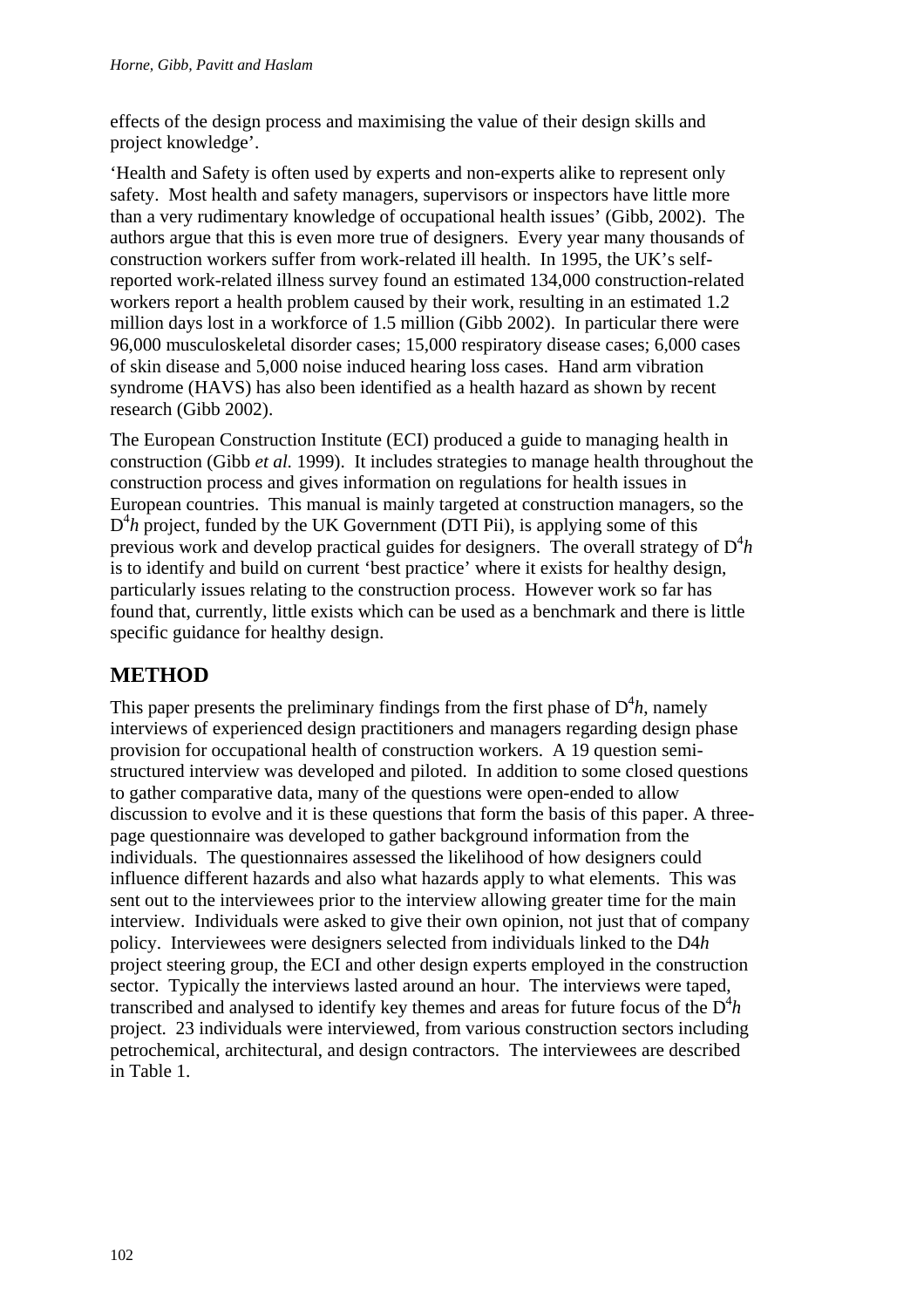effects of the design process and maximising the value of their design skills and project knowledge'.

'Health and Safety is often used by experts and non-experts alike to represent only safety. Most health and safety managers, supervisors or inspectors have little more than a very rudimentary knowledge of occupational health issues' (Gibb, 2002). The authors argue that this is even more true of designers. Every year many thousands of construction workers suffer from work-related ill health. In 1995, the UK's selfreported work-related illness survey found an estimated 134,000 construction-related workers report a health problem caused by their work, resulting in an estimated 1.2 million days lost in a workforce of 1.5 million (Gibb 2002). In particular there were 96,000 musculoskeletal disorder cases; 15,000 respiratory disease cases; 6,000 cases of skin disease and 5,000 noise induced hearing loss cases. Hand arm vibration syndrome (HAVS) has also been identified as a health hazard as shown by recent research (Gibb 2002).

The European Construction Institute (ECI) produced a guide to managing health in construction (Gibb *et al.* 1999). It includes strategies to manage health throughout the construction process and gives information on regulations for health issues in European countries. This manual is mainly targeted at construction managers, so the  $D<sup>4</sup>h$  project, funded by the UK Government (DTI Pii), is applying some of this previous work and develop practical guides for designers. The overall strategy of  $D^4 h$ is to identify and build on current 'best practice' where it exists for healthy design, particularly issues relating to the construction process. However work so far has found that, currently, little exists which can be used as a benchmark and there is little specific guidance for healthy design.

## **METHOD**

This paper presents the preliminary findings from the first phase of  $D^4 h$ , namely interviews of experienced design practitioners and managers regarding design phase provision for occupational health of construction workers. A 19 question semistructured interview was developed and piloted. In addition to some closed questions to gather comparative data, many of the questions were open-ended to allow discussion to evolve and it is these questions that form the basis of this paper. A threepage questionnaire was developed to gather background information from the individuals. The questionnaires assessed the likelihood of how designers could influence different hazards and also what hazards apply to what elements. This was sent out to the interviewees prior to the interview allowing greater time for the main interview.Individuals were asked to give their own opinion, not just that of company policy. Interviewees were designers selected from individuals linked to the D4*h* project steering group, the ECI and other design experts employed in the construction sector. Typically the interviews lasted around an hour. The interviews were taped, transcribed and analysed to identify key themes and areas for future focus of the  $D^4 h$ project. 23 individuals were interviewed, from various construction sectors including petrochemical, architectural, and design contractors. The interviewees are described in Table 1.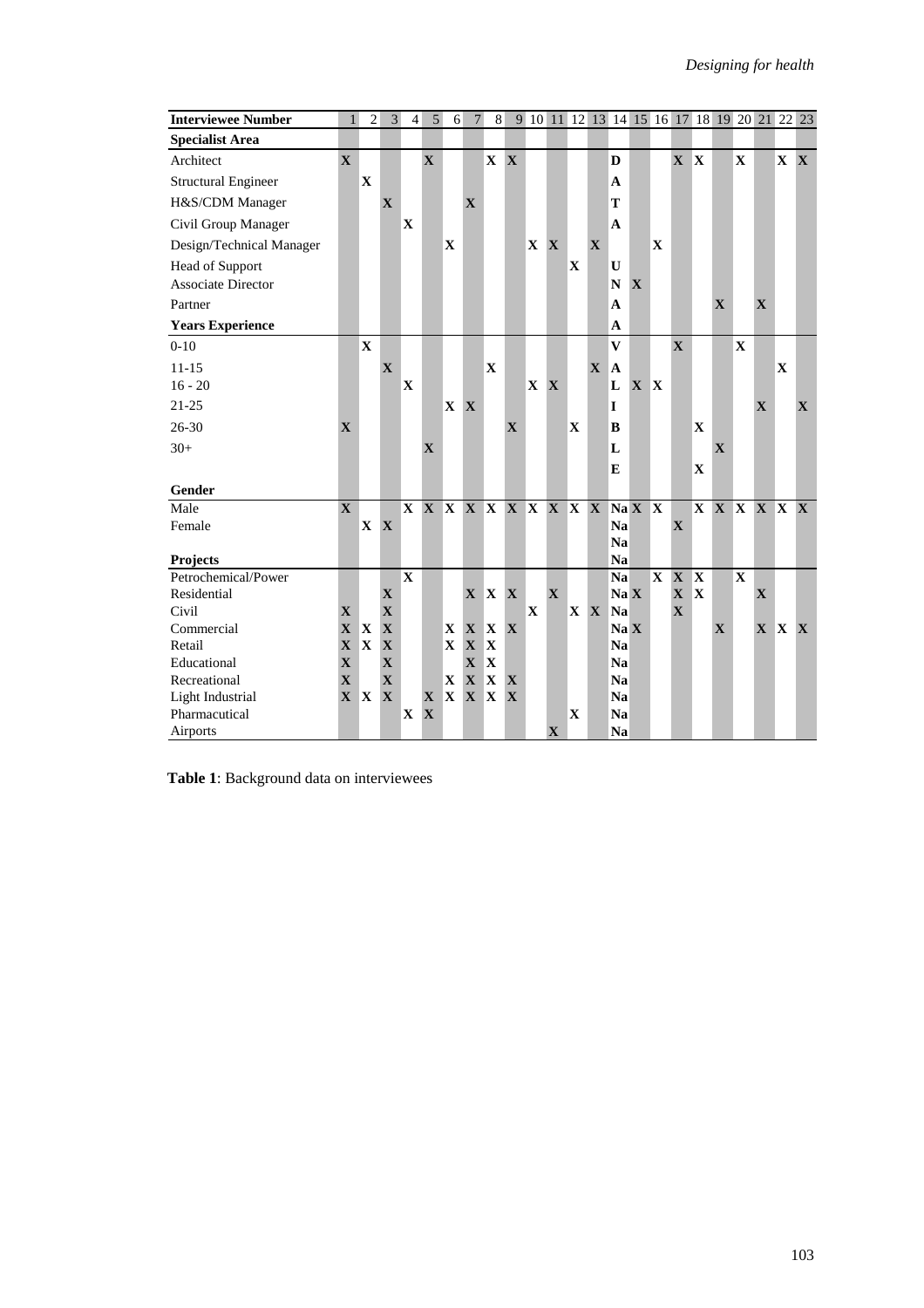| <b>Interviewee Number</b>  | 1            | $\overline{2}$ | 3                       | $\overline{4}$          | 5 <sup>5</sup> | 6          | $7\phantom{.0}$ | 8           |                            |              |             |              |              |              |              |              |       |   |              |              |         |   | 9 10 11 12 13 14 15 16 17 18 19 20 21 22 23 |
|----------------------------|--------------|----------------|-------------------------|-------------------------|----------------|------------|-----------------|-------------|----------------------------|--------------|-------------|--------------|--------------|--------------|--------------|--------------|-------|---|--------------|--------------|---------|---|---------------------------------------------|
| <b>Specialist Area</b>     |              |                |                         |                         |                |            |                 |             |                            |              |             |              |              |              |              |              |       |   |              |              |         |   |                                             |
| Architect                  | $\mathbf{X}$ |                |                         |                         | $\mathbf X$    |            |                 | X X         |                            |              |             |              |              | D            |              |              | X X   |   |              | $\mathbf{X}$ |         |   | $X \ X$                                     |
| <b>Structural Engineer</b> |              | X              |                         |                         |                |            |                 |             |                            |              |             |              |              | $\mathbf{A}$ |              |              |       |   |              |              |         |   |                                             |
| H&S/CDM Manager            |              |                | $\mathbf X$             |                         |                |            | $\mathbf X$     |             |                            |              |             |              |              | T            |              |              |       |   |              |              |         |   |                                             |
| Civil Group Manager        |              |                |                         | X                       |                |            |                 |             |                            |              |             |              |              | $\mathbf A$  |              |              |       |   |              |              |         |   |                                             |
| Design/Technical Manager   |              |                |                         |                         |                | X          |                 |             |                            | $\mathbf{X}$ | X           |              | X            |              |              | X            |       |   |              |              |         |   |                                             |
| Head of Support            |              |                |                         |                         |                |            |                 |             |                            |              |             | $\mathbf{X}$ |              | U            |              |              |       |   |              |              |         |   |                                             |
| Associate Director         |              |                |                         |                         |                |            |                 |             |                            |              |             |              |              | $\mathbf N$  | X            |              |       |   |              |              |         |   |                                             |
| Partner                    |              |                |                         |                         |                |            |                 |             |                            |              |             |              |              | $\mathbf{A}$ |              |              |       |   | X            |              | X       |   |                                             |
| <b>Years Experience</b>    |              |                |                         |                         |                |            |                 |             |                            |              |             |              |              | $\mathbf{A}$ |              |              |       |   |              |              |         |   |                                             |
| $0 - 10$                   |              | $\mathbf X$    |                         |                         |                |            |                 |             |                            |              |             |              |              | $\mathbf{V}$ |              |              | X     |   |              | X            |         |   |                                             |
| $11 - 15$                  |              |                | X                       |                         |                |            |                 | $\mathbf X$ |                            |              |             |              | $\mathbf{X}$ | <b>A</b>     |              |              |       |   |              |              |         | X |                                             |
| $16 - 20$                  |              |                |                         | X                       |                |            |                 |             |                            | X            | X           |              |              | L            | $\mathbf{X}$ | $\mathbf{X}$ |       |   |              |              |         |   |                                             |
| $21 - 25$                  |              |                |                         |                         |                | X X        |                 |             |                            |              |             |              |              | I            |              |              |       |   |              |              | X       |   | $\mathbf{X}$                                |
| 26-30                      | X            |                |                         |                         |                |            |                 |             | X                          |              |             | $\mathbf{X}$ |              | B            |              |              |       | X |              |              |         |   |                                             |
| $30+$                      |              |                |                         |                         | X              |            |                 |             |                            |              |             |              |              | L            |              |              |       |   | X            |              |         |   |                                             |
|                            |              |                |                         |                         |                |            |                 |             |                            |              |             |              |              | E            |              |              |       | X |              |              |         |   |                                             |
| Gender                     |              |                |                         |                         |                |            |                 |             |                            |              |             |              |              |              |              |              |       |   |              |              |         |   |                                             |
| Male                       | X            |                |                         |                         |                |            |                 |             | X X X X X X X X X X X Na X |              |             |              |              |              |              | $\mathbf{X}$ |       |   |              |              |         |   | X X X X X X                                 |
| Female                     |              | X X            |                         |                         |                |            |                 |             |                            |              |             |              |              | <b>Na</b>    |              |              | X     |   |              |              |         |   |                                             |
|                            |              |                |                         |                         |                |            |                 |             |                            |              |             |              |              | Na           |              |              |       |   |              |              |         |   |                                             |
| <b>Projects</b>            |              |                |                         |                         |                |            |                 |             |                            |              |             |              |              | Na           |              |              |       |   |              |              |         |   |                                             |
| Petrochemical/Power        |              |                |                         | $\overline{\mathbf{X}}$ |                |            |                 |             |                            |              |             |              |              | Na           |              |              | X X X |   |              | $\mathbf X$  |         |   |                                             |
| Residential                |              |                | $\mathbf X$             |                         |                |            | $X \ X$         |             | $\mathbf{X}$               |              | $\mathbf X$ |              |              | Na X         |              |              | X X   |   |              |              | X       |   |                                             |
| Civil                      | X            |                | $\mathbf X$             |                         |                |            |                 |             |                            | $\mathbf X$  |             |              | X X Na       |              |              |              | X     |   |              |              |         |   |                                             |
| Commercial                 | $\mathbf{X}$ | $\mathbf{X}$   | X                       |                         |                | X X        |                 | <b>X</b>    | X                          |              |             |              |              | Na X         |              |              |       |   | $\mathbf{X}$ |              | $X \ X$ |   | $\mathbf{X}$                                |
| Retail                     | $\mathbf{X}$ | $\mathbf X$    | $\mathbf X$             |                         |                | X X        |                 | $\mathbf X$ |                            |              |             |              |              | Na           |              |              |       |   |              |              |         |   |                                             |
| Educational                | X            |                | $\mathbf X$             |                         |                |            | $\mathbf{X}$    | ΙX          |                            |              |             |              |              | <b>Na</b>    |              |              |       |   |              |              |         |   |                                             |
| Recreational               | X            |                | $\overline{\mathbf{X}}$ |                         |                | <b>X X</b> |                 | X           | X                          |              |             |              |              | <b>Na</b>    |              |              |       |   |              |              |         |   |                                             |
| Light Industrial           | X X          |                | X                       |                         | $\mathbf{X}$   |            | X X X           |             | X                          |              |             |              |              | <b>Na</b>    |              |              |       |   |              |              |         |   |                                             |
| Pharmacutical              |              |                |                         | X                       | $\mathbf X$    |            |                 |             |                            |              |             | X            |              | Na           |              |              |       |   |              |              |         |   |                                             |
| Airports                   |              |                |                         |                         |                |            |                 |             |                            |              | X           |              |              | <b>Na</b>    |              |              |       |   |              |              |         |   |                                             |

**Table 1**: Background data on interviewees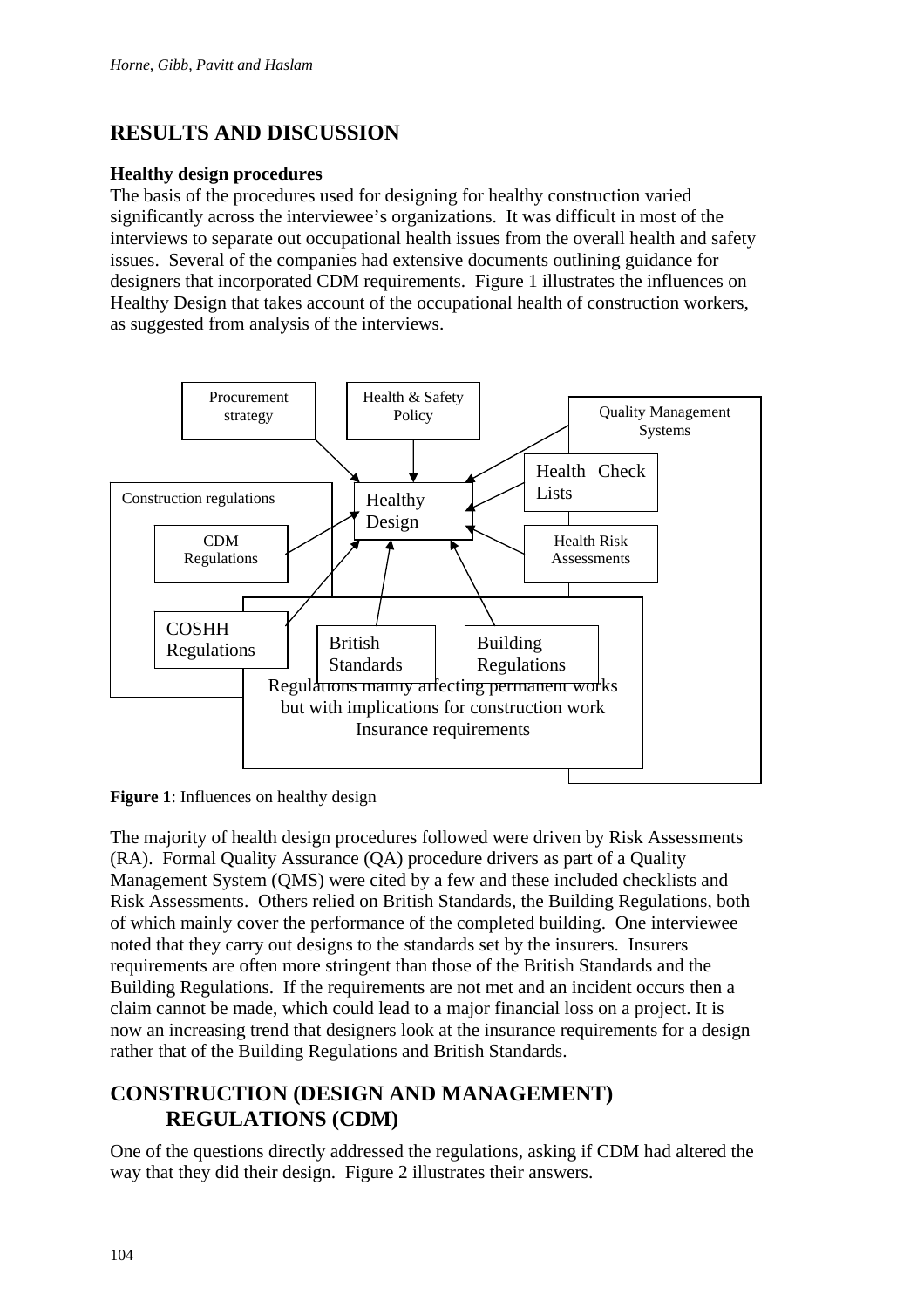# **RESULTS AND DISCUSSION**

### **Healthy design procedures**

The basis of the procedures used for designing for healthy construction varied significantly across the interviewee's organizations. It was difficult in most of the interviews to separate out occupational health issues from the overall health and safety issues. Several of the companies had extensive documents outlining guidance for designers that incorporated CDM requirements. Figure 1 illustrates the influences on Healthy Design that takes account of the occupational health of construction workers, as suggested from analysis of the interviews.





The majority of health design procedures followed were driven by Risk Assessments (RA). Formal Quality Assurance (QA) procedure drivers as part of a Quality Management System (QMS) were cited by a few and these included checklists and Risk Assessments. Others relied on British Standards, the Building Regulations, both of which mainly cover the performance of the completed building. One interviewee noted that they carry out designs to the standards set by the insurers. Insurers requirements are often more stringent than those of the British Standards and the Building Regulations. If the requirements are not met and an incident occurs then a claim cannot be made, which could lead to a major financial loss on a project. It is now an increasing trend that designers look at the insurance requirements for a design rather that of the Building Regulations and British Standards.

## **CONSTRUCTION (DESIGN AND MANAGEMENT) REGULATIONS (CDM)**

One of the questions directly addressed the regulations, asking if CDM had altered the way that they did their design. Figure 2 illustrates their answers.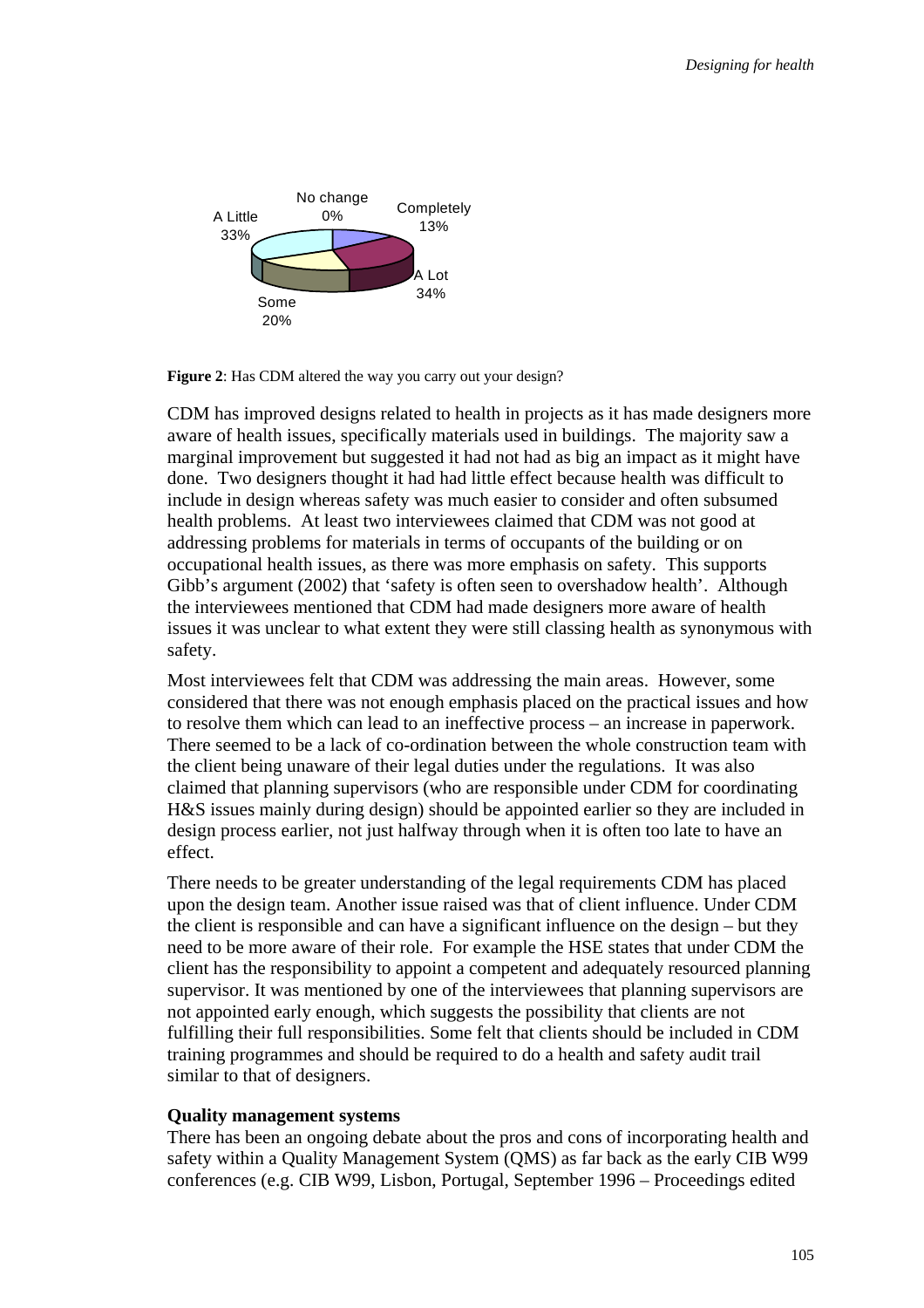

**Figure 2**: Has CDM altered the way you carry out your design?

CDM has improved designs related to health in projects as it has made designers more aware of health issues, specifically materials used in buildings. The majority saw a marginal improvement but suggested it had not had as big an impact as it might have done. Two designers thought it had had little effect because health was difficult to include in design whereas safety was much easier to consider and often subsumed health problems. At least two interviewees claimed that CDM was not good at addressing problems for materials in terms of occupants of the building or on occupational health issues, as there was more emphasis on safety. This supports Gibb's argument (2002) that 'safety is often seen to overshadow health'. Although the interviewees mentioned that CDM had made designers more aware of health issues it was unclear to what extent they were still classing health as synonymous with safety.

Most interviewees felt that CDM was addressing the main areas. However, some considered that there was not enough emphasis placed on the practical issues and how to resolve them which can lead to an ineffective process – an increase in paperwork. There seemed to be a lack of co-ordination between the whole construction team with the client being unaware of their legal duties under the regulations. It was also claimed that planning supervisors (who are responsible under CDM for coordinating H&S issues mainly during design) should be appointed earlier so they are included in design process earlier, not just halfway through when it is often too late to have an effect.

There needs to be greater understanding of the legal requirements CDM has placed upon the design team. Another issue raised was that of client influence. Under CDM the client is responsible and can have a significant influence on the design – but they need to be more aware of their role. For example the HSE states that under CDM the client has the responsibility to appoint a competent and adequately resourced planning supervisor. It was mentioned by one of the interviewees that planning supervisors are not appointed early enough, which suggests the possibility that clients are not fulfilling their full responsibilities. Some felt that clients should be included in CDM training programmes and should be required to do a health and safety audit trail similar to that of designers.

#### **Quality management systems**

There has been an ongoing debate about the pros and cons of incorporating health and safety within a Quality Management System (QMS) as far back as the early CIB W99 conferences (e.g. CIB W99, Lisbon, Portugal, September 1996 – Proceedings edited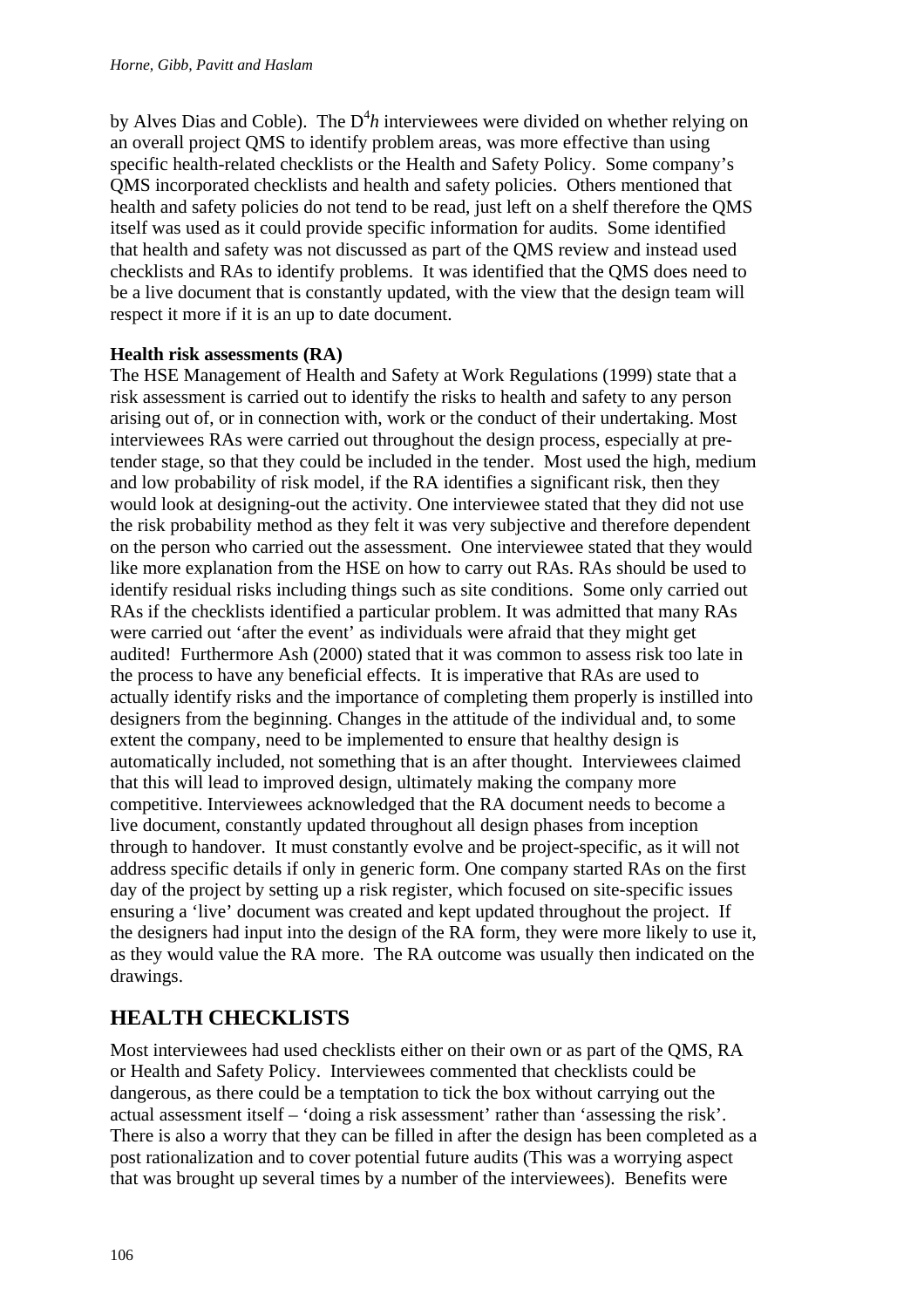by Alves Dias and Coble). The  $D^4 h$  interviewees were divided on whether relying on an overall project QMS to identify problem areas, was more effective than using specific health-related checklists or the Health and Safety Policy. Some company's QMS incorporated checklists and health and safety policies. Others mentioned that health and safety policies do not tend to be read, just left on a shelf therefore the QMS itself was used as it could provide specific information for audits. Some identified that health and safety was not discussed as part of the QMS review and instead used checklists and RAs to identify problems. It was identified that the QMS does need to be a live document that is constantly updated, with the view that the design team will respect it more if it is an up to date document.

### **Health risk assessments (RA)**

The HSE Management of Health and Safety at Work Regulations (1999) state that a risk assessment is carried out to identify the risks to health and safety to any person arising out of, or in connection with, work or the conduct of their undertaking. Most interviewees RAs were carried out throughout the design process, especially at pretender stage, so that they could be included in the tender. Most used the high, medium and low probability of risk model, if the RA identifies a significant risk, then they would look at designing-out the activity. One interviewee stated that they did not use the risk probability method as they felt it was very subjective and therefore dependent on the person who carried out the assessment. One interviewee stated that they would like more explanation from the HSE on how to carry out RAs. RAs should be used to identify residual risks including things such as site conditions. Some only carried out RAs if the checklists identified a particular problem. It was admitted that many RAs were carried out 'after the event' as individuals were afraid that they might get audited! Furthermore Ash (2000) stated that it was common to assess risk too late in the process to have any beneficial effects. It is imperative that RAs are used to actually identify risks and the importance of completing them properly is instilled into designers from the beginning. Changes in the attitude of the individual and, to some extent the company, need to be implemented to ensure that healthy design is automatically included, not something that is an after thought. Interviewees claimed that this will lead to improved design, ultimately making the company more competitive. Interviewees acknowledged that the RA document needs to become a live document, constantly updated throughout all design phases from inception through to handover. It must constantly evolve and be project-specific, as it will not address specific details if only in generic form. One company started RAs on the first day of the project by setting up a risk register, which focused on site-specific issues ensuring a 'live' document was created and kept updated throughout the project. If the designers had input into the design of the RA form, they were more likely to use it, as they would value the RA more. The RA outcome was usually then indicated on the drawings.

## **HEALTH CHECKLISTS**

Most interviewees had used checklists either on their own or as part of the QMS, RA or Health and Safety Policy. Interviewees commented that checklists could be dangerous, as there could be a temptation to tick the box without carrying out the actual assessment itself – 'doing a risk assessment' rather than 'assessing the risk'. There is also a worry that they can be filled in after the design has been completed as a post rationalization and to cover potential future audits (This was a worrying aspect that was brought up several times by a number of the interviewees). Benefits were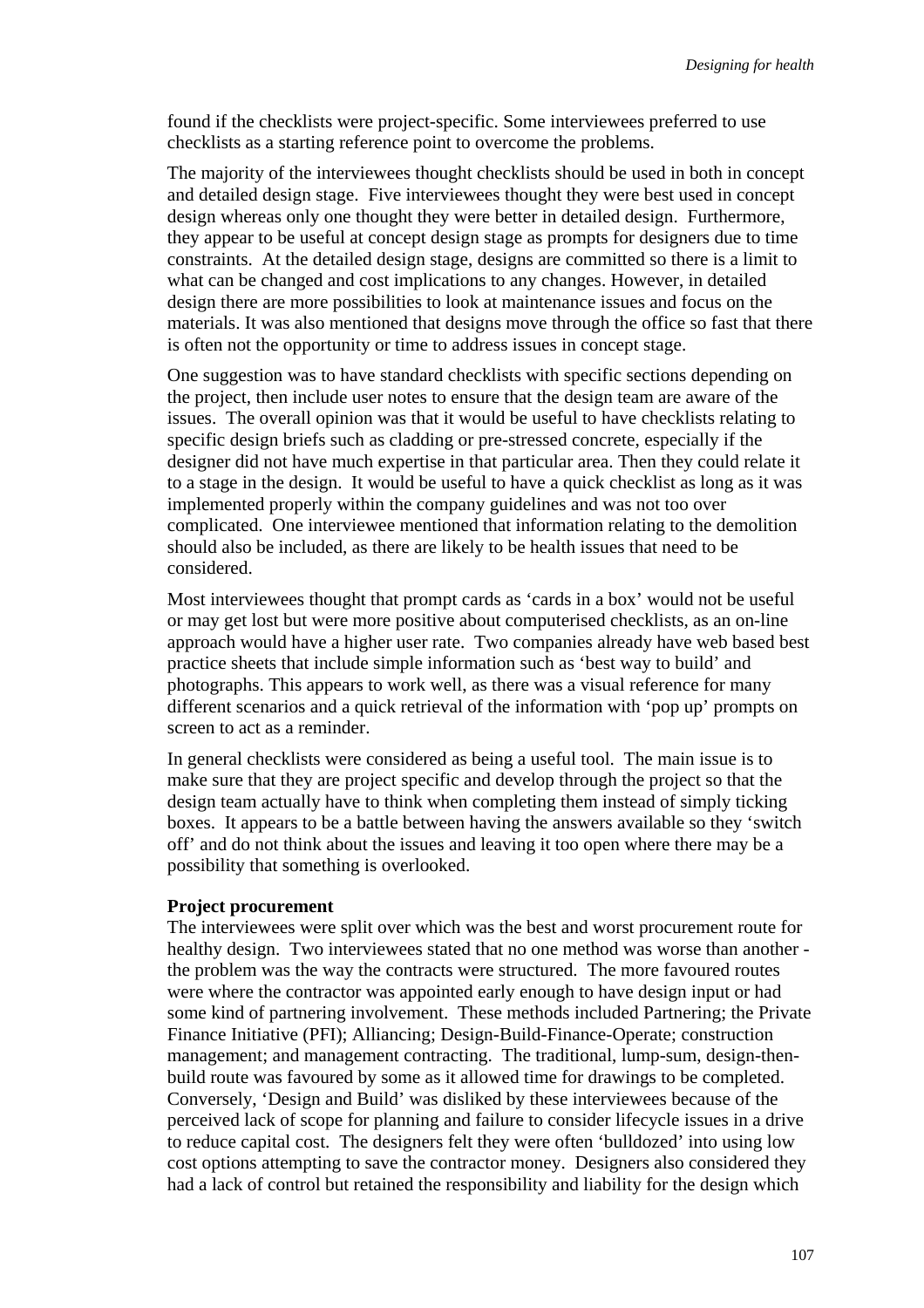found if the checklists were project-specific. Some interviewees preferred to use checklists as a starting reference point to overcome the problems.

The majority of the interviewees thought checklists should be used in both in concept and detailed design stage. Five interviewees thought they were best used in concept design whereas only one thought they were better in detailed design. Furthermore, they appear to be useful at concept design stage as prompts for designers due to time constraints. At the detailed design stage, designs are committed so there is a limit to what can be changed and cost implications to any changes. However, in detailed design there are more possibilities to look at maintenance issues and focus on the materials. It was also mentioned that designs move through the office so fast that there is often not the opportunity or time to address issues in concept stage.

One suggestion was to have standard checklists with specific sections depending on the project, then include user notes to ensure that the design team are aware of the issues. The overall opinion was that it would be useful to have checklists relating to specific design briefs such as cladding or pre-stressed concrete, especially if the designer did not have much expertise in that particular area. Then they could relate it to a stage in the design. It would be useful to have a quick checklist as long as it was implemented properly within the company guidelines and was not too over complicated. One interviewee mentioned that information relating to the demolition should also be included, as there are likely to be health issues that need to be considered.

Most interviewees thought that prompt cards as 'cards in a box' would not be useful or may get lost but were more positive about computerised checklists, as an on-line approach would have a higher user rate. Two companies already have web based best practice sheets that include simple information such as 'best way to build' and photographs. This appears to work well, as there was a visual reference for many different scenarios and a quick retrieval of the information with 'pop up' prompts on screen to act as a reminder.

In general checklists were considered as being a useful tool. The main issue is to make sure that they are project specific and develop through the project so that the design team actually have to think when completing them instead of simply ticking boxes. It appears to be a battle between having the answers available so they 'switch off' and do not think about the issues and leaving it too open where there may be a possibility that something is overlooked.

#### **Project procurement**

The interviewees were split over which was the best and worst procurement route for healthy design. Two interviewees stated that no one method was worse than another the problem was the way the contracts were structured. The more favoured routes were where the contractor was appointed early enough to have design input or had some kind of partnering involvement. These methods included Partnering; the Private Finance Initiative (PFI); Alliancing; Design-Build-Finance-Operate; construction management; and management contracting. The traditional, lump-sum, design-thenbuild route was favoured by some as it allowed time for drawings to be completed. Conversely, 'Design and Build' was disliked by these interviewees because of the perceived lack of scope for planning and failure to consider lifecycle issues in a drive to reduce capital cost. The designers felt they were often 'bulldozed' into using low cost options attempting to save the contractor money. Designers also considered they had a lack of control but retained the responsibility and liability for the design which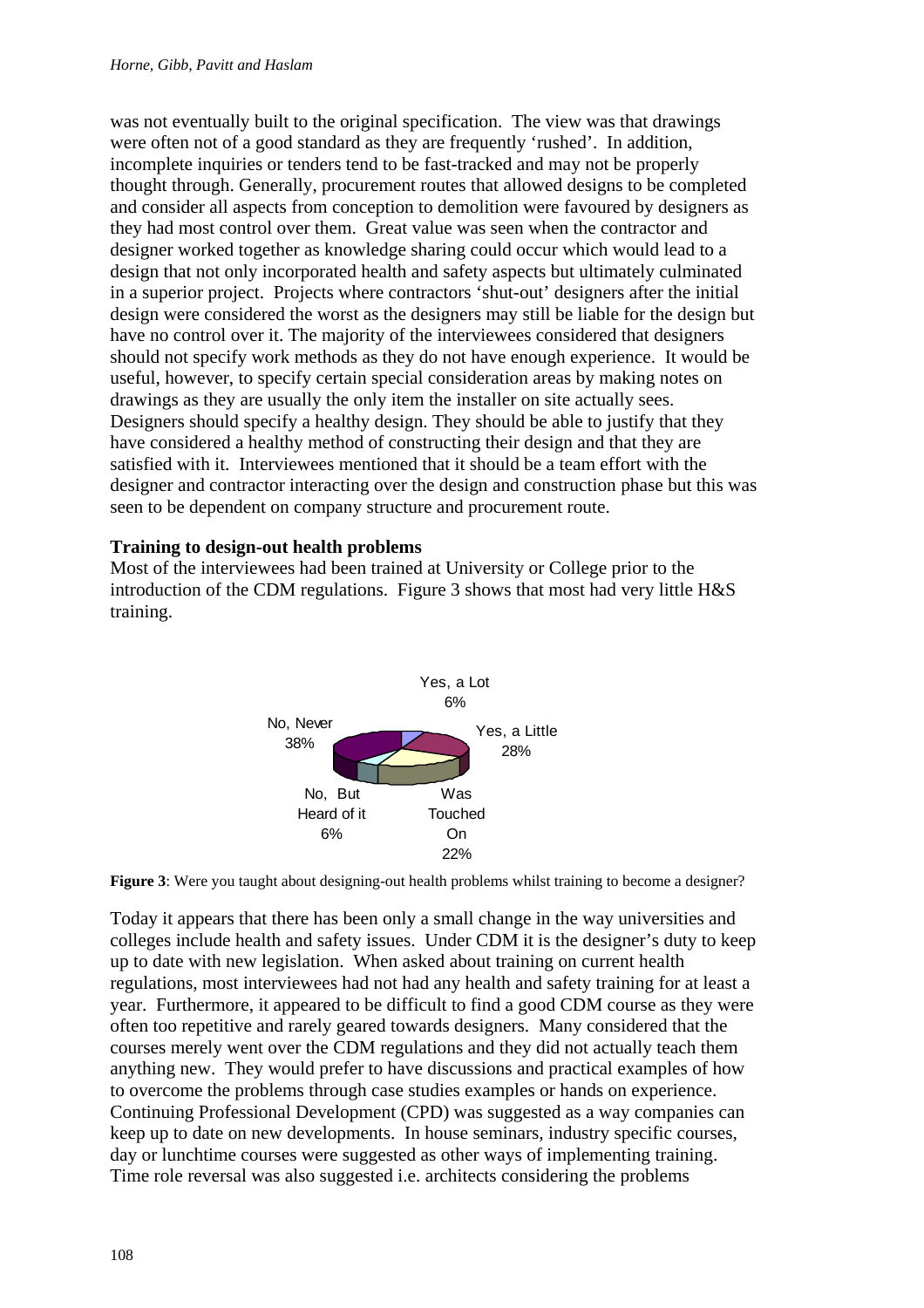was not eventually built to the original specification. The view was that drawings were often not of a good standard as they are frequently 'rushed'. In addition, incomplete inquiries or tenders tend to be fast-tracked and may not be properly thought through. Generally, procurement routes that allowed designs to be completed and consider all aspects from conception to demolition were favoured by designers as they had most control over them. Great value was seen when the contractor and designer worked together as knowledge sharing could occur which would lead to a design that not only incorporated health and safety aspects but ultimately culminated in a superior project. Projects where contractors 'shut-out' designers after the initial design were considered the worst as the designers may still be liable for the design but have no control over it. The majority of the interviewees considered that designers should not specify work methods as they do not have enough experience. It would be useful, however, to specify certain special consideration areas by making notes on drawings as they are usually the only item the installer on site actually sees. Designers should specify a healthy design. They should be able to justify that they have considered a healthy method of constructing their design and that they are satisfied with it. Interviewees mentioned that it should be a team effort with the designer and contractor interacting over the design and construction phase but this was seen to be dependent on company structure and procurement route.

### **Training to design-out health problems**

Most of the interviewees had been trained at University or College prior to the introduction of the CDM regulations. Figure 3 shows that most had very little H&S training.





Today it appears that there has been only a small change in the way universities and colleges include health and safety issues. Under CDM it is the designer's duty to keep up to date with new legislation. When asked about training on current health regulations, most interviewees had not had any health and safety training for at least a year. Furthermore, it appeared to be difficult to find a good CDM course as they were often too repetitive and rarely geared towards designers. Many considered that the courses merely went over the CDM regulations and they did not actually teach them anything new. They would prefer to have discussions and practical examples of how to overcome the problems through case studies examples or hands on experience. Continuing Professional Development (CPD) was suggested as a way companies can keep up to date on new developments. In house seminars, industry specific courses, day or lunchtime courses were suggested as other ways of implementing training. Time role reversal was also suggested i.e. architects considering the problems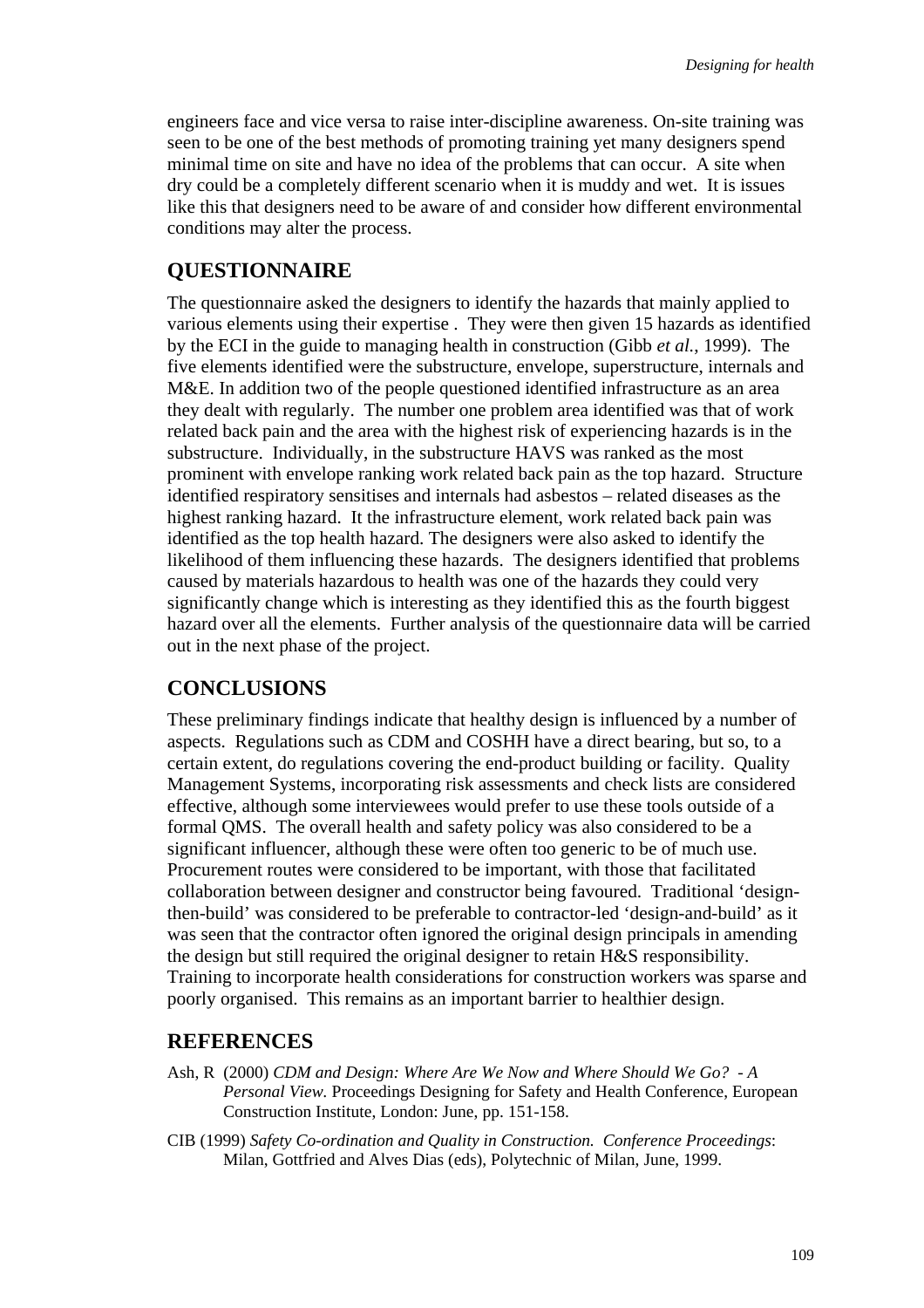engineers face and vice versa to raise inter-discipline awareness. On-site training was seen to be one of the best methods of promoting training yet many designers spend minimal time on site and have no idea of the problems that can occur. A site when dry could be a completely different scenario when it is muddy and wet. It is issues like this that designers need to be aware of and consider how different environmental conditions may alter the process.

#### **QUESTIONNAIRE**

The questionnaire asked the designers to identify the hazards that mainly applied to various elements using their expertise . They were then given 15 hazards as identified by the ECI in the guide to managing health in construction (Gibb *et al.*, 1999). The five elements identified were the substructure, envelope, superstructure, internals and M&E. In addition two of the people questioned identified infrastructure as an area they dealt with regularly. The number one problem area identified was that of work related back pain and the area with the highest risk of experiencing hazards is in the substructure. Individually, in the substructure HAVS was ranked as the most prominent with envelope ranking work related back pain as the top hazard. Structure identified respiratory sensitises and internals had asbestos – related diseases as the highest ranking hazard. It the infrastructure element, work related back pain was identified as the top health hazard. The designers were also asked to identify the likelihood of them influencing these hazards. The designers identified that problems caused by materials hazardous to health was one of the hazards they could very significantly change which is interesting as they identified this as the fourth biggest hazard over all the elements. Further analysis of the questionnaire data will be carried out in the next phase of the project.

#### **CONCLUSIONS**

These preliminary findings indicate that healthy design is influenced by a number of aspects. Regulations such as CDM and COSHH have a direct bearing, but so, to a certain extent, do regulations covering the end-product building or facility. Quality Management Systems, incorporating risk assessments and check lists are considered effective, although some interviewees would prefer to use these tools outside of a formal QMS. The overall health and safety policy was also considered to be a significant influencer, although these were often too generic to be of much use. Procurement routes were considered to be important, with those that facilitated collaboration between designer and constructor being favoured. Traditional 'designthen-build' was considered to be preferable to contractor-led 'design-and-build' as it was seen that the contractor often ignored the original design principals in amending the design but still required the original designer to retain H&S responsibility. Training to incorporate health considerations for construction workers was sparse and poorly organised. This remains as an important barrier to healthier design.

#### **REFERENCES**

- Ash, R (2000) *CDM and Design: Where Are We Now and Where Should We Go? A Personal View.* Proceedings Designing for Safety and Health Conference, European Construction Institute, London: June, pp. 151-158.
- CIB (1999) *Safety Co-ordination and Quality in Construction. Conference Proceedings*: Milan, Gottfried and Alves Dias (eds), Polytechnic of Milan, June, 1999.